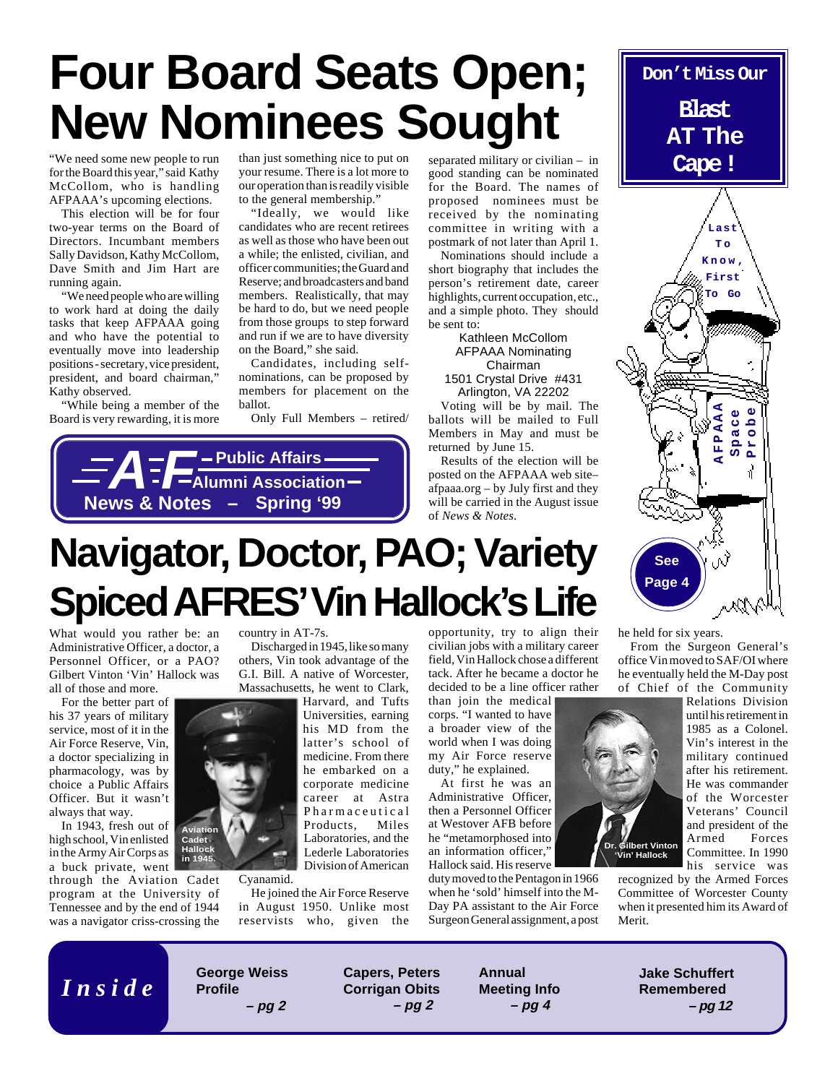# **Four Board Seats Open; New Nominees Sought**

"We need some new people to run than just something nice<br>for the Board this year," said Kathy your resume. There is a lo McCollom, who is handling AFPAAA's upcoming elections.

This election will be for four two-year terms on the Board of Directors. Incumbant members Sally Davidson, Kathy McCollom, Dave Smith and Jim Hart are running again.

"We need people who are willing to work hard at doing the daily tasks that keep AFPAAA going and who have the potential to eventually move into leadership positions - secretary, vice president, president, and board chairman," Kathy observed.

"While being a member of the Board is very rewarding, it is more

than just something nice to put on your resume. There is a lot more to our operation than is readily visible to the general membership."

"Ideally, we would like candidates who are recent retirees as well as those who have been out a while; the enlisted, civilian, and officer communities; the Guard and Reserve; and broadcasters and band members. Realistically, that may be hard to do, but we need people from those groups to step forward and run if we are to have diversity on the Board," she said.

Candidates, including selfnominations, can be proposed by members for placement on the ballot.

Only Full Members – retired/



separated military or civilian – in good standing can be nominated for the Board. The names of proposed nominees must be received by the nominating committee in writing with a postmark of not later than April 1.

Nominations should include a short biography that includes the person's retirement date, career highlights, current occupation, etc., and a simple photo. They should be sent to:

Kathleen McCollom AFPAAA Nominating Chairman 1501 Crystal Drive #431 Arlington, VA 22202

Voting will be by mail. The ballots will be mailed to Full Members in May and must be returned by June 15.

Results of the election will be posted on the AFPAAA web site– afpaaa.org – by July first and they will be carried in the August issue of *News & Notes*.



# **Navigator, Doctor, PAO; Variety Spiced AFRES' Vin Hallock's Life**

What would you rather be: an Administrative Officer, a doctor, a Personnel Officer, or a PAO? Gilbert Vinton 'Vin' Hallock was all of those and more.

For the better part of his 37 years of military service, most of it in the Air Force Reserve, Vin, a doctor specializing in pharmacology, was by choice a Public Affairs Officer. But it wasn't always that way.

In 1943, fresh out of high school, Vin enlisted in the Army Air Corps as a buck private, went

through the Aviation Cadet program at the University of Tennessee and by the end of 1944 was a navigator criss-crossing the

country in AT-7s.

Discharged in 1945, like so many others, Vin took advantage of the G.I. Bill. A native of Worcester, Massachusetts, he went to Clark,

> Harvard, and Tufts Universities, earning his MD from the latter's school of medicine. From there he embarked on a corporate medicine career at Astra Pharmaceutical Products, Miles Laboratories, and the Lederle Laboratories Division of American

He joined the Air Force Reserve in August 1950. Unlike most reservists who, given the opportunity, try to align their civilian jobs with a military career field, Vin Hallock chose a different tack. After he became a doctor he decided to be a line officer rather

than join the medical corps. "I wanted to have a broader view of the world when I was doing my Air Force reserve duty," he explained.

At first he was an Administrative Officer, then a Personnel Officer at Westover AFB before he "metamorphosed into an information officer," Hallock said. His reserve

duty moved to the Pentagon in 1966 when he 'sold' himself into the M-Day PA assistant to the Air Force Surgeon General assignment, a post he held for six years.

From the Surgeon General's office Vin moved to SAF/OI where he eventually held the M-Day post of Chief of the Community



Relations Division until his retirement in 1985 as a Colonel. Vin's interest in the military continued after his retirement. He was commander of the Worcester Veterans' Council and president of the Armed Forces Committee. In 1990 his service was

recognized by the Armed Forces Committee of Worcester County when it presented him its Award of Merit.

**I** *n s* i *d e* **Capers**, Peters **Capers**, Peters **Capers**, Peters **George Weiss Profile – pg 2**

**Corrigan Obits – pg 2**

**Annual Meeting Info – pg 4**

**Jake Schuffert Remembered – pg 12**



Cyanamid.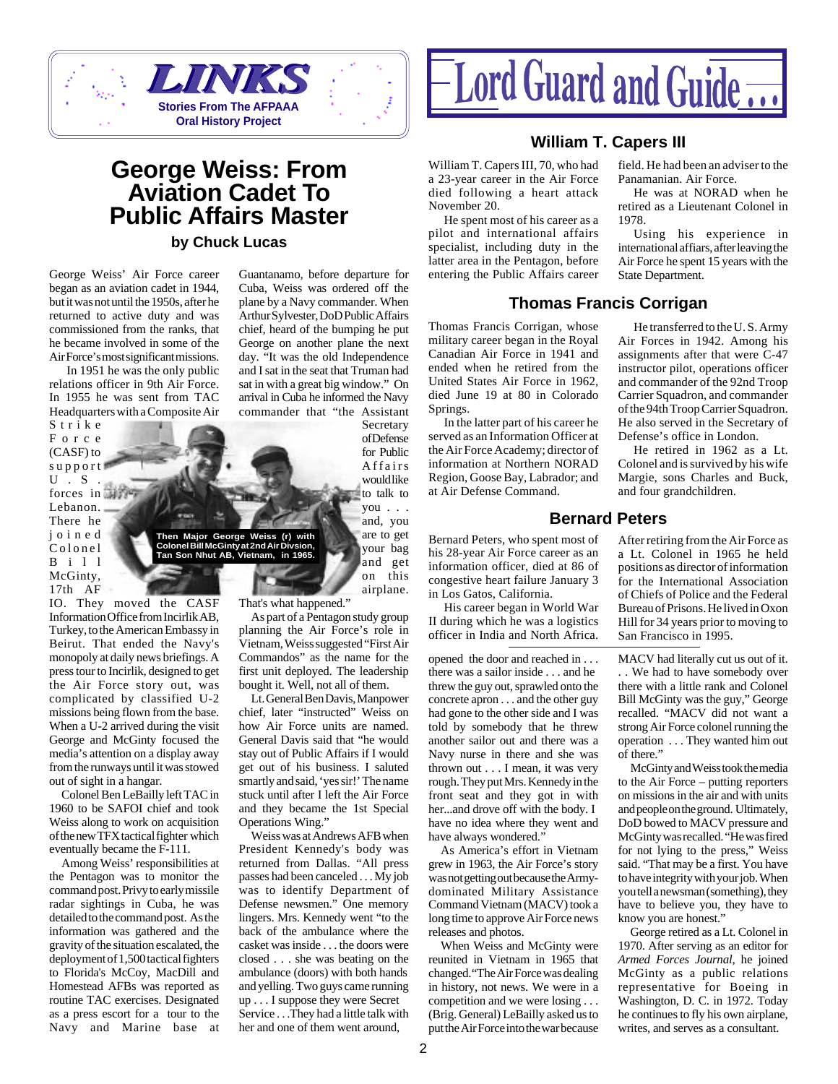

### **George Weiss: From Aviation Cadet To Public Affairs Master**

**by Chuck Lucas**

**Then Major George Weiss (r) with Colonel Bill McGinty at 2nd Air Divsion, Tan Son Nhut AB, Vietnam, in 1965.**

George Weiss' Air Force career began as an aviation cadet in 1944, but it was not until the 1950s, after he returned to active duty and was commissioned from the ranks, that he became involved in some of the Air Force's most significant missions.

 In 1951 he was the only public relations officer in 9th Air Force. In 1955 he was sent from TAC Headquarters with a Composite Air

Strike Force (CASF) to support U.S forces in **Here** Lebanon. There he joined Colonel Bill McGinty, 17th AF

IO. They moved the CASF Information Office from Incirlik AB, Turkey, to the American Embassy in Beirut. That ended the Navy's monopoly at daily news briefings. A press tour to Incirlik, designed to get the Air Force story out, was complicated by classified U-2 missions being flown from the base. When a U-2 arrived during the visit George and McGinty focused the media's attention on a display away from the runways until it was stowed out of sight in a hangar.

Colonel Ben LeBailly left TAC in 1960 to be SAFOI chief and took Weiss along to work on acquisition of the new TFX tactical fighter which eventually became the F-111.

Among Weiss' responsibilities at the Pentagon was to monitor the command post. Privy to early missile radar sightings in Cuba, he was detailed to the command post. As the information was gathered and the gravity of the situation escalated, the deployment of 1,500 tactical fighters to Florida's McCoy, MacDill and Homestead AFBs was reported as routine TAC exercises. Designated as a press escort for a tour to the Navy and Marine base at

Cuba, Weiss was ordered off the plane by a Navy commander. When Arthur Sylvester, DoD Public Affairs chief, heard of the bumping he put George on another plane the next day. "It was the old Independence and I sat in the seat that Truman had sat in with a great big window." On arrival in Cuba he informed the Navy commander that "the Assistant

> Secretary of Defense for Public Affairs would like to talk to you . . . and, you are to get

your bag and get on this airplane.

That's what happened."

As part of a Pentagon study group planning the Air Force's role in Vietnam, Weiss suggested "First Air Commandos" as the name for the first unit deployed. The leadership bought it. Well, not all of them.

Lt. General Ben Davis, Manpower chief, later "instructed" Weiss on how Air Force units are named. General Davis said that "he would stay out of Public Affairs if I would get out of his business. I saluted smartly and said, 'yes sir!' The name stuck until after I left the Air Force and they became the 1st Special Operations Wing."

Weiss was at Andrews AFB when President Kennedy's body was returned from Dallas. "All press passes had been canceled . . . My job was to identify Department of Defense newsmen." One memory lingers. Mrs. Kennedy went "to the back of the ambulance where the casket was inside . . . the doors were closed . . . she was beating on the ambulance (doors) with both hands and yelling. Two guys came running up . . . I suppose they were Secret Service . . . They had a little talk with her and one of them went around,



#### **William T. Capers III**

William T. Capers III, 70, who had a 23-year career in the Air Force died following a heart attack November 20.

He spent most of his career as a pilot and international affairs specialist, including duty in the latter area in the Pentagon, before Guantanamo, before departure for entering the Public Affairs career State Department.

#### **Thomas Francis Corrigan**

Thomas Francis Corrigan, whose military career began in the Royal Canadian Air Force in 1941 and ended when he retired from the United States Air Force in 1962, died June 19 at 80 in Colorado Springs.

In the latter part of his career he served as an Information Officer at the Air Force Academy; director of information at Northern NORAD Region, Goose Bay, Labrador; and at Air Defense Command.

Bernard Peters, who spent most of his 28-year Air Force career as an information officer, died at 86 of congestive heart failure January 3 in Los Gatos, California.

His career began in World War II during which he was a logistics officer in India and North Africa.

opened the door and reached in . . . there was a sailor inside . . . and he threw the guy out, sprawled onto the concrete apron . . . and the other guy had gone to the other side and I was told by somebody that he threw another sailor out and there was a Navy nurse in there and she was thrown out . . . I mean, it was very rough. They put Mrs. Kennedy in the front seat and they got in with her...and drove off with the body. I have no idea where they went and have always wondered."

As America's effort in Vietnam grew in 1963, the Air Force's story was not getting out because the Armydominated Military Assistance Command Vietnam (MACV) took a long time to approve Air Force news releases and photos.

When Weiss and McGinty were reunited in Vietnam in 1965 that changed."The Air Force was dealing in history, not news. We were in a competition and we were losing . . . (Brig. General) LeBailly asked us to put the Air Force into the war because

field. He had been an adviser to the Panamanian. Air Force.

He was at NORAD when he retired as a Lieutenant Colonel in 1978.

Using his experience in international affiars, after leaving the Air Force he spent 15 years with the

He transferred to the U. S. Army Air Forces in 1942. Among his assignments after that were C-47 instructor pilot, operations officer and commander of the 92nd Troop Carrier Squadron, and commander of the 94th Troop Carrier Squadron. He also served in the Secretary of Defense's office in London.

He retired in 1962 as a Lt. Colonel and is survived by his wife Margie, sons Charles and Buck, and four grandchildren.

**Bernard Peters**

After retiring from the Air Force as a Lt. Colonel in 1965 he held positions as director of information for the International Association of Chiefs of Police and the Federal Bureau of Prisons. He lived in Oxon Hill for 34 years prior to moving to San Francisco in 1995.

MACV had literally cut us out of it. . . We had to have somebody over there with a little rank and Colonel Bill McGinty was the guy," George recalled. "MACV did not want a strong Air Force colonel running the operation . . . They wanted him out of there."

McGinty and Weiss took the media to the Air Force – putting reporters on missions in the air and with units and people on the ground. Ultimately, DoD bowed to MACV pressure and McGinty was recalled. "He was fired for not lying to the press," Weiss said. "That may be a first. You have to have integrity with your job. When you tell a newsman (something), they have to believe you, they have to know you are honest."

George retired as a Lt. Colonel in 1970. After serving as an editor for *Armed Forces Journal*, he joined McGinty as a public relations representative for Boeing in Washington, D. C. in 1972. Today he continues to fly his own airplane, writes, and serves as a consultant.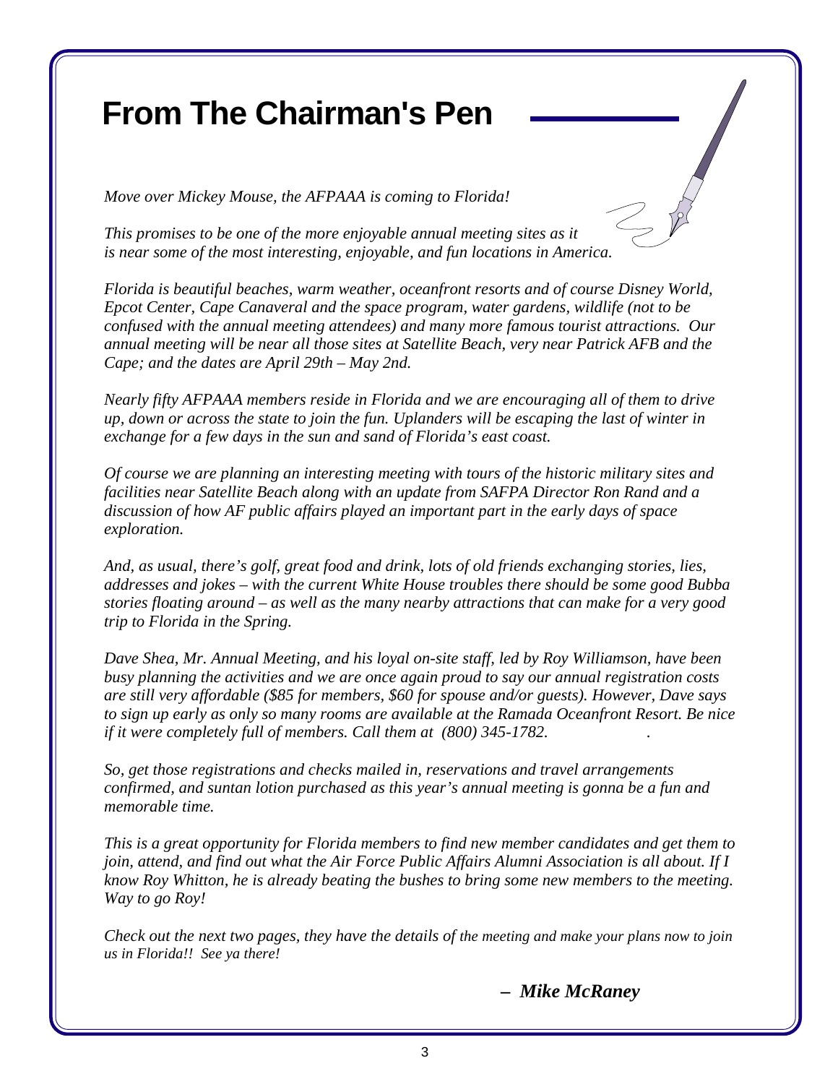# **From The Chairman's Pen**

*Move over Mickey Mouse, the AFPAAA is coming to Florida!*

*This promises to be one of the more enjoyable annual meeting sites as it is near some of the most interesting, enjoyable, and fun locations in America.*

*Florida is beautiful beaches, warm weather, oceanfront resorts and of course Disney World, Epcot Center, Cape Canaveral and the space program, water gardens, wildlife (not to be confused with the annual meeting attendees) and many more famous tourist attractions. Our annual meeting will be near all those sites at Satellite Beach, very near Patrick AFB and the Cape; and the dates are April 29th – May 2nd.*

*Nearly fifty AFPAAA members reside in Florida and we are encouraging all of them to drive up, down or across the state to join the fun. Uplanders will be escaping the last of winter in exchange for a few days in the sun and sand of Florida's east coast.*

*Of course we are planning an interesting meeting with tours of the historic military sites and facilities near Satellite Beach along with an update from SAFPA Director Ron Rand and a discussion of how AF public affairs played an important part in the early days of space exploration.*

*And, as usual, there's golf, great food and drink, lots of old friends exchanging stories, lies, addresses and jokes – with the current White House troubles there should be some good Bubba stories floating around – as well as the many nearby attractions that can make for a very good trip to Florida in the Spring.*

*Dave Shea, Mr. Annual Meeting, and his loyal on-site staff, led by Roy Williamson, have been busy planning the activities and we are once again proud to say our annual registration costs are still very affordable (\$85 for members, \$60 for spouse and/or guests). However, Dave says to sign up early as only so many rooms are available at the Ramada Oceanfront Resort. Be nice if it were completely full of members. Call them at (800) 345-1782. .*

*So, get those registrations and checks mailed in, reservations and travel arrangements confirmed, and suntan lotion purchased as this year's annual meeting is gonna be a fun and memorable time.*

*This is a great opportunity for Florida members to find new member candidates and get them to join, attend, and find out what the Air Force Public Affairs Alumni Association is all about. If I know Roy Whitton, he is already beating the bushes to bring some new members to the meeting. Way to go Roy!*

*Check out the next two pages, they have the details of the meeting and make your plans now to join us in Florida!! See ya there!*

 *– Mike McRaney*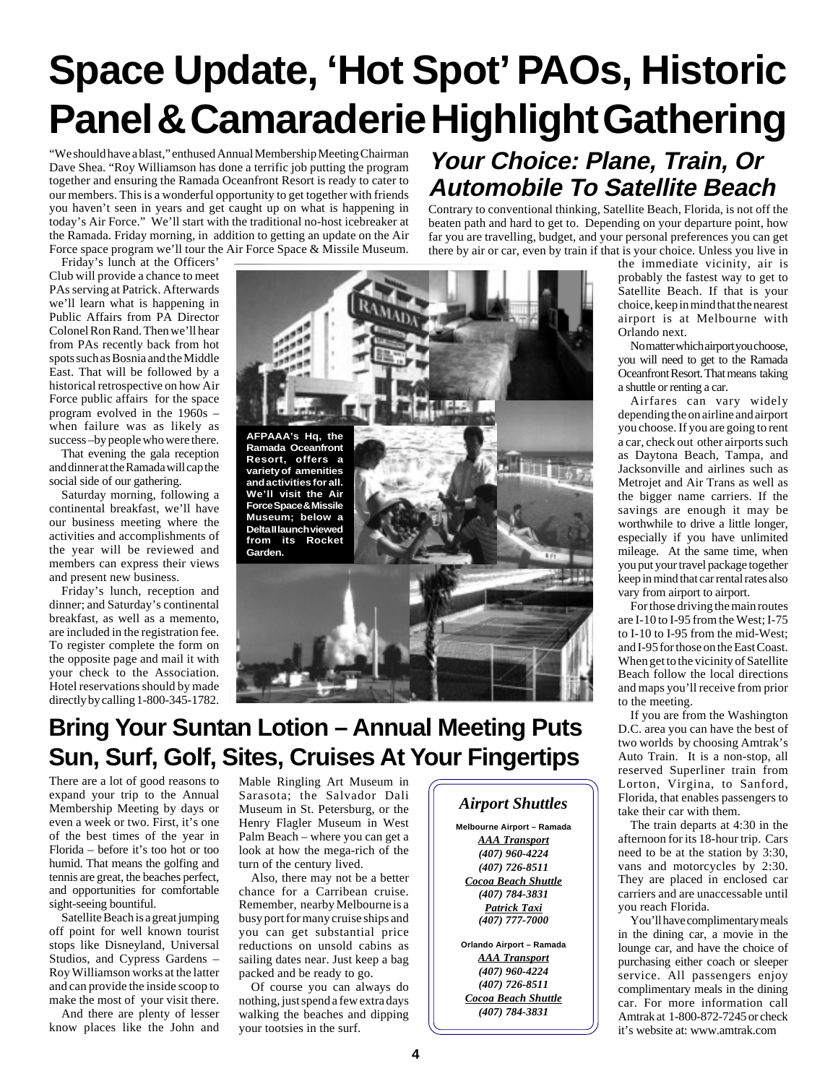# **Space Update, 'Hot Spot' PAOs, Historic Panel & Camaraderie Highlight Gathering**

"We should have a blast," enthused Annual Membership Meeting Chairman Dave Shea. "Roy Williamson has done a terrific job putting the program together and ensuring the Ramada Oceanfront Resort is ready to cater to our members. This is a wonderful opportunity to get together with friends you haven't seen in years and get caught up on what is happening in today's Air Force." We'll start with the traditional no-host icebreaker at the Ramada. Friday morning, in addition to getting an update on the Air Force space program we'll tour the Air Force Space & Missile Museum.

Friday's lunch at the Officers' Club will provide a chance to meet PAs serving at Patrick. Afterwards we'll learn what is happening in Public Affairs from PA Director Colonel Ron Rand. Then we'll hear from PAs recently back from hot spots such as Bosnia and the Middle East. That will be followed by a historical retrospective on how Air Force public affairs for the space program evolved in the 1960s – when failure was as likely as success –by people who were there.

That evening the gala reception and dinner at the Ramada will cap the social side of our gathering.

Saturday morning, following a continental breakfast, we'll have our business meeting where the activities and accomplishments of the year will be reviewed and members can express their views and present new business.

Friday's lunch, reception and dinner; and Saturday's continental breakfast, as well as a memento, are included in the registration fee. To register complete the form on the opposite page and mail it with your check to the Association. Hotel reservations should by made directly by calling 1-800-345-1782.



### **Bring Your Suntan Lotion – Annual Meeting Puts Sun, Surf, Golf, Sites, Cruises At Your Fingertips**

There are a lot of good reasons to expand your trip to the Annual Membership Meeting by days or even a week or two. First, it's one of the best times of the year in Florida – before it's too hot or too humid. That means the golfing and tennis are great, the beaches perfect, and opportunities for comfortable sight-seeing bountiful.

Satellite Beach is a great jumping off point for well known tourist stops like Disneyland, Universal Studios, and Cypress Gardens – Roy Williamson works at the latter and can provide the inside scoop to make the most of your visit there.

And there are plenty of lesser know places like the John and

Mable Ringling Art Museum in Sarasota; the Salvador Dali Museum in St. Petersburg, or the Henry Flagler Museum in West Palm Beach – where you can get a look at how the mega-rich of the turn of the century lived.

Also, there may not be a better chance for a Carribean cruise. Remember, nearby Melbourne is a busy port for many cruise ships and you can get substantial price reductions on unsold cabins as sailing dates near. Just keep a bag packed and be ready to go.

Of course you can always do nothing, just spend a few extra days walking the beaches and dipping your tootsies in the surf.

### **Your Choice: Plane, Train, Or Automobile To Satellite Beach**

Contrary to conventional thinking, Satellite Beach, Florida, is not off the beaten path and hard to get to. Depending on your departure point, how far you are travelling, budget, and your personal preferences you can get there by air or car, even by train if that is your choice. Unless you live in

the immediate vicinity, air is probably the fastest way to get to Satellite Beach. If that is your choice, keep in mind that the nearest airport is at Melbourne with Orlando next.

No matter which airport you choose, you will need to get to the Ramada Oceanfront Resort. That means taking a shuttle or renting a car.

Airfares can vary widely depending the on airline and airport you choose. If you are going to rent a car, check out other airports such as Daytona Beach, Tampa, and Jacksonville and airlines such as Metrojet and Air Trans as well as the bigger name carriers. If the savings are enough it may be worthwhile to drive a little longer, especially if you have unlimited mileage. At the same time, when you put your travel package together keep in mind that car rental rates also vary from airport to airport.

For those driving the main routes are I-10 to I-95 from the West; I-75 to I-10 to I-95 from the mid-West; and I-95 for those on the East Coast. When get to the vicinity of Satellite Beach follow the local directions and maps you'll receive from prior to the meeting.

If you are from the Washington D.C. area you can have the best of two worlds by choosing Amtrak's Auto Train. It is a non-stop, all reserved Superliner train from Lorton, Virgina, to Sanford, Florida, that enables passengers to take their car with them.

The train departs at 4:30 in the afternoon for its 18-hour trip. Cars need to be at the station by 3:30, vans and motorcycles by 2:30. They are placed in enclosed car carriers and are unaccessable until you reach Florida.

You'll have complimentary meals in the dining car, a movie in the lounge car, and have the choice of purchasing either coach or sleeper service. All passengers enjoy complimentary meals in the dining car. For more information call Amtrak at 1-800-872-7245 or check it's website at: www.amtrak.com

**Melbourne Airport – Ramada** *AAA Transport (407) 960-4224 (407) 726-8511 Cocoa Beach Shuttle (407) 784-3831 Patrick Taxi (407) 777-7000* **Orlando Airport – Ramada** *AAA Transport (407) 960-4224 (407) 726-8511 Cocoa Beach Shuttle (407) 784-3831*

*Airport Shuttles*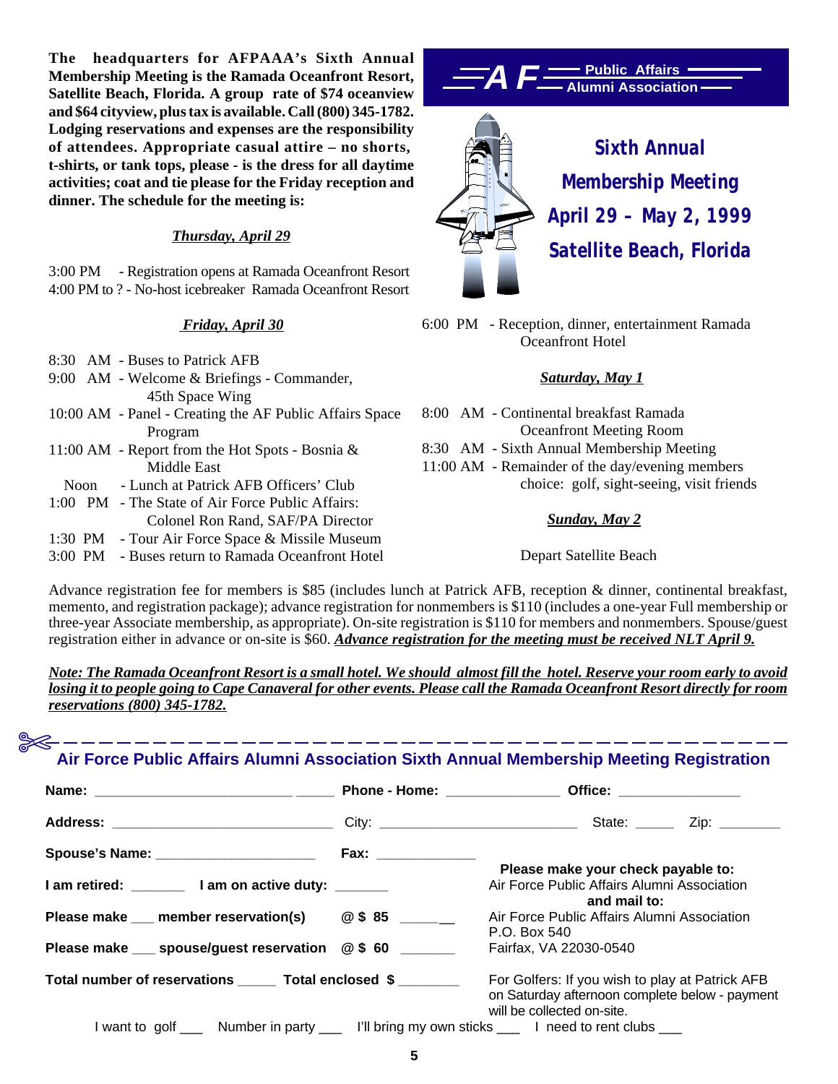**The headquarters for AFPAAA's Sixth Annual Membership Meeting is the Ramada Oceanfront Resort, Satellite Beach, Florida. A group rate of \$74 oceanview and \$64 cityview, plus tax is available. Call (800) 345-1782. Lodging reservations and expenses are the responsibility of attendees. Appropriate casual attire – no shorts, t-shirts, or tank tops, please - is the dress for all daytime activities; coat and tie please for the Friday reception and dinner. The schedule for the meeting is:**

#### *Thursday, April 29*

3:00 PM - Registration opens at Ramada Oceanfront Resort 4:00 PM to ? - No-host icebreaker Ramada Oceanfront Resort

#### *Friday, April 30*

- 8:30 AM Buses to Patrick AFB
- 9:00 AM Welcome & Briefings Commander, 45th Space Wing
- 10:00 AM Panel Creating the AF Public Affairs Space Program
- 11:00 AM Report from the Hot Spots Bosnia & Middle East
- Noon Lunch at Patrick AFB Officers' Club
- 1:00 PM The State of Air Force Public Affairs: Colonel Ron Rand, SAF/PA Director
- 1:30 PM Tour Air Force Space & Missile Museum
- 3:00 PM Buses return to Ramada Oceanfront Hotel





6:00 PM - Reception, dinner, entertainment Ramada Oceanfront Hotel

#### *Saturday, May 1*

- 8:00 AM Continental breakfast Ramada Oceanfront Meeting Room
- 8:30 AM Sixth Annual Membership Meeting
- 11:00 AM Remainder of the day/evening members choice: golf, sight-seeing, visit friends

#### *Sunday, May 2*

Depart Satellite Beach

Advance registration fee for members is \$85 (includes lunch at Patrick AFB, reception & dinner, continental breakfast, memento, and registration package); advance registration for nonmembers is \$110 (includes a one-year Full membership or three-year Associate membership, as appropriate). On-site registration is \$110 for members and nonmembers. Spouse/guest registration either in advance or on-site is \$60. *Advance registration for the meeting must be received NLT April 9.*

*Note: The Ramada Oceanfront Resort is a small hotel. We should almost fill the hotel. Reserve your room early to avoid losing it to people going to Cape Canaveral for other events. Please call the Ramada Oceanfront Resort directly for room reservations (800) 345-1782.*

## ✄**Air Force Public Affairs Alumni Association Sixth Annual Membership Meeting Registration**

| Spouse's Name: _______________________                                                        |                                                                                                                                 |
|-----------------------------------------------------------------------------------------------|---------------------------------------------------------------------------------------------------------------------------------|
|                                                                                               | Please make your check payable to:                                                                                              |
| I am retired: I am on active duty: _____                                                      | Air Force Public Affairs Alumni Association<br>and mail to:                                                                     |
| Please make __ member reservation(s) @ \$85 _____                                             | Air Force Public Affairs Alumni Association                                                                                     |
|                                                                                               | P.O. Box 540                                                                                                                    |
| Please make ___ spouse/guest reservation @ \$ 60 ______                                       | Fairfax, VA 22030-0540                                                                                                          |
| Total number of reservations Total enclosed \$                                                | For Golfers: If you wish to play at Patrick AFB<br>on Saturday afternoon complete below - payment<br>will be collected on-site. |
| I want to golf ____ Number in party ___ I'll bring my own sticks ___ I need to rent clubs ___ |                                                                                                                                 |